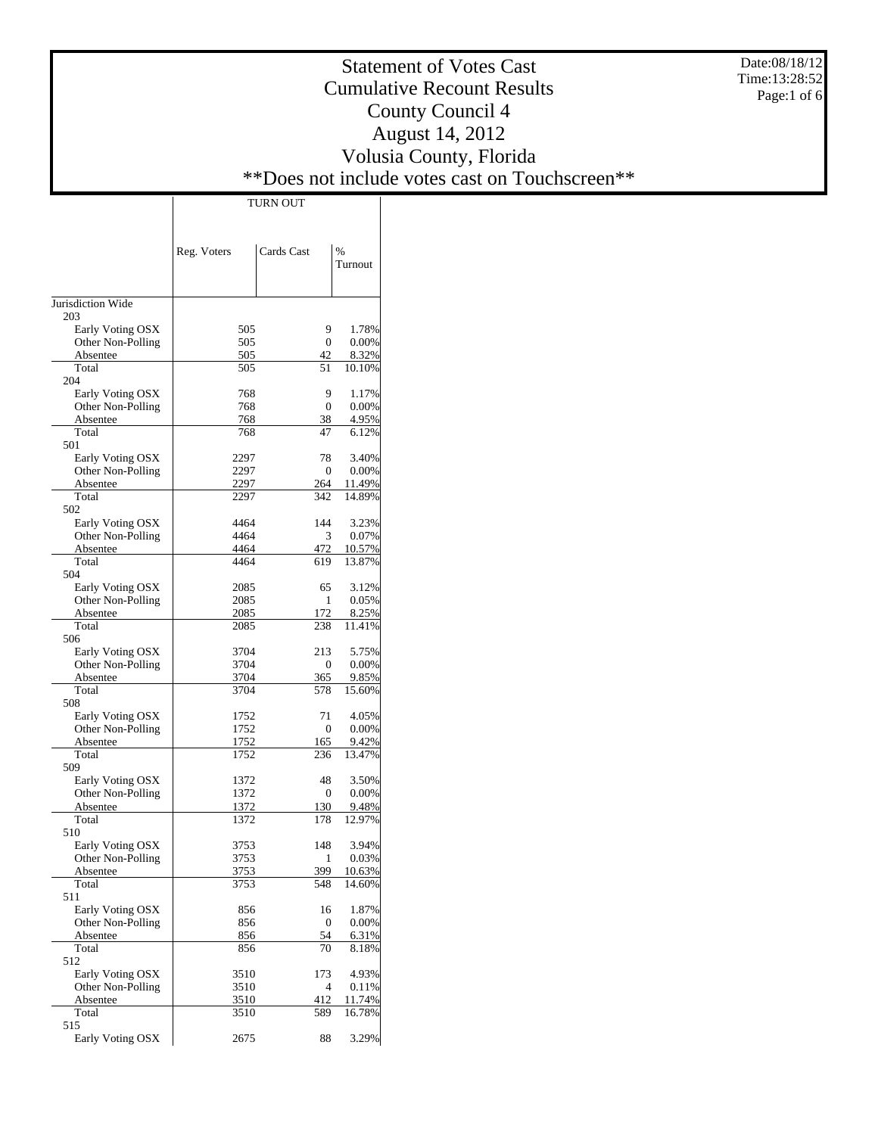Date:08/18/12 Time:13:28:52 Page:1 of 6

# Statement of Votes Cast Cumulative Recount Results County Council 4 August 14, 2012 Volusia County, Florida \*\*Does not include votes cast on Touchscreen\*\*

|                          | Reg. Voters | Cards Cast   | %<br>Turnout |
|--------------------------|-------------|--------------|--------------|
|                          |             |              |              |
| Jurisdiction Wide<br>203 |             |              |              |
| Early Voting OSX         | 505         | 9            | 1.78%        |
| Other Non-Polling        | 505         | $\theta$     | 0.00%        |
| Absentee                 | 505         | 42           | 8.32%        |
| Total<br>204             | 505         | 51           | 10.10%       |
| Early Voting OSX         | 768         | 9            | 1.17%        |
| Other Non-Polling        | 768         | 0            | 0.00%        |
| Absentee                 | 768         | 38           | 4.95%        |
| Total                    | 768         | 47           | 6.12%        |
| 501                      |             |              |              |
| Early Voting OSX         | 2297        | 78           | 3.40%        |
| Other Non-Polling        | 2297        | 0            | 0.00%        |
| Absentee                 | 2297        | 264          | 11.49%       |
| Total                    | 2297        | 342          | 14.89%       |
| 502                      |             |              |              |
| Early Voting OSX         | 4464        | 144          | 3.23%        |
| Other Non-Polling        | 4464        | 3            | 0.07%        |
| Absentee                 | 4464        | 472          | 10.57%       |
| Total                    | 4464        | 619          | 13.87%       |
| 504                      |             |              |              |
| Early Voting OSX         | 2085        | 65           | 3.12%        |
| Other Non-Polling        | 2085        | 1            | 0.05%        |
| Absentee                 | 2085        | 172          | 8.25%        |
| Total                    | 2085        | 238          | 11.41%       |
| 506                      |             |              |              |
| Early Voting OSX         | 3704        | 213          | 5.75%        |
| Other Non-Polling        | 3704        | 0            | 0.00%        |
| Absentee<br>Total        | 3704        | 365          | 9.85%        |
| 508                      | 3704        | 578          | 15.60%       |
| Early Voting OSX         | 1752        | 71           | 4.05%        |
| Other Non-Polling        | 1752        | 0            | 0.00%        |
| Absentee                 | 1752        | 165          | 9.42%        |
| Total                    | 1752        | 236          | 13.47%       |
| 509                      |             |              |              |
| Early Voting OSX         | 1372        | 48           | 3.50%        |
| Other Non-Polling        | 1372        | 0            | 0.00%        |
| Absentee                 | 1372        | 130          | 9.48%        |
| Total                    | 1372        | 178          | 12.97%       |
| 510                      |             |              |              |
| Early Voting OSX         | 3753        | 148          | 3.94%        |
| Other Non-Polling        | 3753        | $\mathbf{1}$ | 0.03%        |
| Absentee                 | 3753        | 399          | 10.63%       |
| Total                    | 3753        | 548          | 14.60%       |
| 511                      |             |              |              |
| Early Voting OSX         | 856         | 16           | 1.87%        |
| Other Non-Polling        | 856         | 0            | 0.00%        |
| Absentee                 | 856         | 54           | 6.31%        |
| Total                    | 856         | 70           | 8.18%        |
| 512                      |             |              |              |
| Early Voting OSX         | 3510        | 173          | 4.93%        |
| Other Non-Polling        | 3510        | 4            | 0.11%        |
| Absentee                 | 3510        | 412          | 11.74%       |
| Total                    | 3510        | 589          | 16.78%       |
| 515<br>Early Voting OSX  | 2675        | 88           | 3.29%        |
|                          |             |              |              |

TURN OUT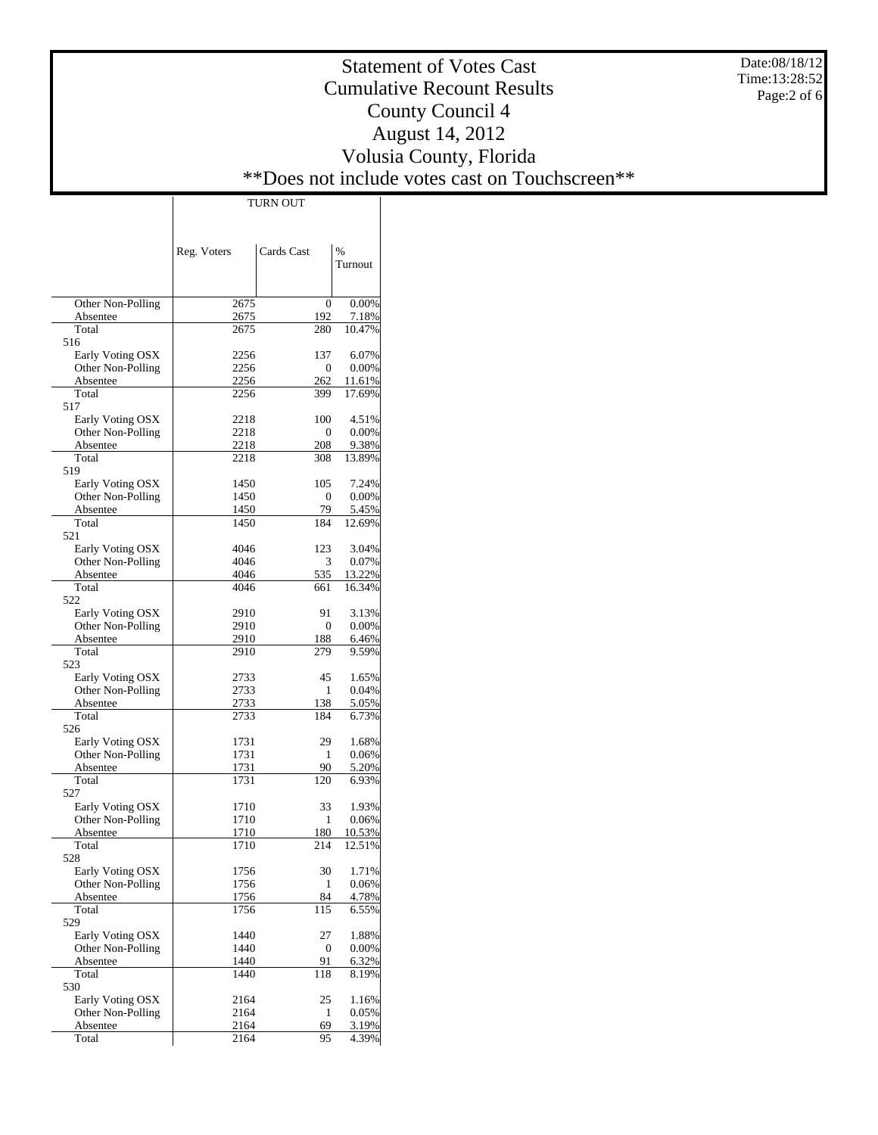Date:08/18/12 Time:13:28:52 Page:2 of 6

# Statement of Votes Cast Cumulative Recount Results County Council 4 August 14, 2012 Volusia County, Florida \*\*Does not include votes cast on Touchscreen\*\*

|                                       | Reg. Voters  | Cards Cast             | $\%$            |
|---------------------------------------|--------------|------------------------|-----------------|
|                                       |              |                        | Turnout         |
|                                       |              |                        |                 |
| Other Non-Polling                     | 2675         | 0                      | 0.00%           |
| Absentee                              | 2675         | 192                    | 7.18%           |
| Total                                 | 2675         | 280                    | 10.47%          |
| 516                                   |              |                        |                 |
| Early Voting OSX                      | 2256         | 137                    | 6.07%           |
| Other Non-Polling<br>Absentee         | 2256<br>2256 | $\mathbf{0}$<br>262    | 0.00%<br>11.61% |
| Total                                 | 2256         | 399                    | 17.69%          |
| 517                                   |              |                        |                 |
| Early Voting OSX                      | 2218         | 100                    | 4.51%           |
| Other Non-Polling                     | 2218         | $\mathbf{0}$           | 0.00%           |
| Absentee                              | 2218         | 208                    | 9.38%           |
| Total                                 | 2218         | 308                    | 13.89%          |
| 519                                   |              |                        |                 |
| Early Voting OSX<br>Other Non-Polling | 1450<br>1450 | 105<br>$\mathbf{0}$    | 7.24%<br>0.00%  |
| Absentee                              | 1450         | 79                     | 5.45%           |
| Total                                 | 1450         | 184                    | 12.69%          |
| 521                                   |              |                        |                 |
| Early Voting OSX                      | 4046         | 123                    | 3.04%           |
| Other Non-Polling                     | 4046         | 3                      | 0.07%           |
| Absentee                              | 4046         | 535                    | 13.22%          |
| Total<br>522                          | 4046         | 661                    | 16.34%          |
| Early Voting OSX                      | 2910         | 91                     | 3.13%           |
| Other Non-Polling                     | 2910         | $\mathbf{0}$           | 0.00%           |
| Absentee                              | 2910         | 188                    | 6.46%           |
| Total                                 | 2910         | 279                    | 9.59%           |
| 523                                   |              |                        |                 |
| Early Voting OSX                      | 2733         | 45                     | 1.65%           |
| Other Non-Polling                     | 2733         | 1                      | 0.04%           |
| Absentee<br>Total                     | 2733         | 138<br>184             | 5.05%           |
| 526                                   | 2733         |                        | 6.73%           |
| Early Voting OSX                      | 1731         | 29                     | 1.68%           |
| Other Non-Polling                     | 1731         | 1                      | 0.06%           |
| Absentee                              | 1731         | 90                     | 5.20%           |
| Total                                 | 1731         | 120                    | 6.93%           |
| 527                                   |              |                        |                 |
| Early Voting OSX                      | 1710         | 33                     | 1.93%           |
| Other Non-Polling<br>Absentee         | 1710<br>1710 | 1<br>180               | 0.06%<br>10.53% |
| Total                                 | 1710         | 214                    | 12.51%          |
| 528                                   |              |                        |                 |
| Early Voting OSX                      | 1756         | 30                     | 1.71%           |
| Other Non-Polling                     | 1756         | 1                      | 0.06%           |
| Absentee                              | 1756         | 84                     | 4.78%           |
| Total                                 | 1756         | 115                    | 6.55%           |
| 529                                   |              |                        | 1.88%           |
| Early Voting OSX<br>Other Non-Polling | 1440<br>1440 | 27<br>$\boldsymbol{0}$ | 0.00%           |
| Absentee                              | 1440         | 91                     | 6.32%           |
| Total                                 | 1440         | 118                    | 8.19%           |
| 530                                   |              |                        |                 |
| Early Voting OSX                      | 2164         | 25                     | 1.16%           |
| Other Non-Polling                     | 2164         | 1                      | 0.05%           |
| Absentee                              | 2164         | 69                     | 3.19%           |
| Total                                 | 2164         | 95                     | 4.39%           |

TURN OUT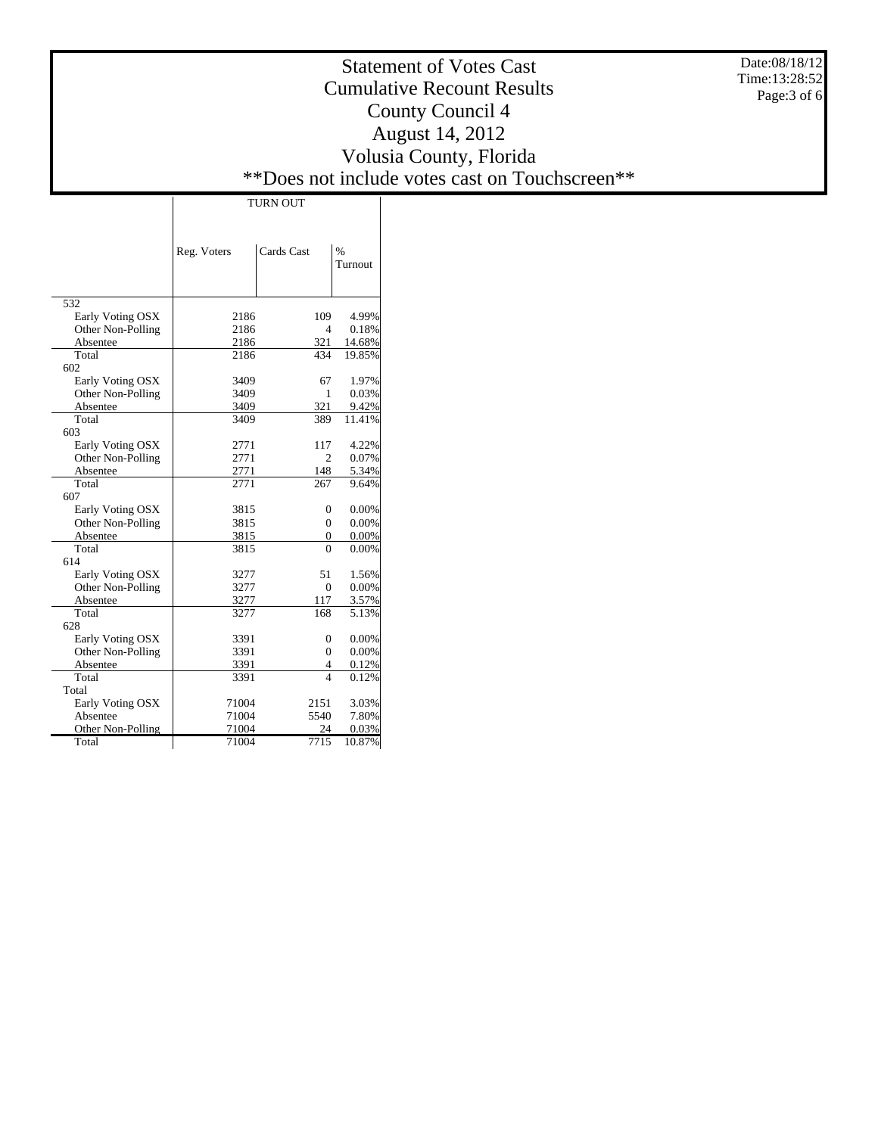Date:08/18/12 Time:13:28:52 Page:3 of 6

# Statement of Votes Cast Cumulative Recount Results County Council 4 August 14, 2012 Volusia County, Florida \*\*Does not include votes cast on Touchscreen\*\*

Τ

|                   | Reg. Voters | Cards Cast              | $\frac{0}{0}$<br>Turnout |
|-------------------|-------------|-------------------------|--------------------------|
| 532               |             |                         |                          |
| Early Voting OSX  | 2186        | 109                     | 4.99%                    |
| Other Non-Polling | 2186        | 4                       | 0.18%                    |
| Absentee          | 2186        | 321                     | 14.68%                   |
| Total             | 2186        | 434                     | 19.85%                   |
| 602               |             |                         |                          |
| Early Voting OSX  | 3409        | 67                      | 1.97%                    |
| Other Non-Polling | 3409        | 1                       | 0.03%                    |
| Absentee          | 3409        | 321                     | 9.42%                    |
| Total             | 3409        | 389                     | 11.41%                   |
| 603               |             |                         |                          |
| Early Voting OSX  | 2771        | 117                     | 4.22%                    |
| Other Non-Polling | 2771        | $\overline{c}$          | 0.07%                    |
| Absentee          | 2771        | 148                     | 5.34%                    |
| Total             | 2771        | 267                     | 9.64%                    |
| 607               |             |                         |                          |
| Early Voting OSX  | 3815        | $\theta$                | 0.00%                    |
| Other Non-Polling | 3815        | $\Omega$                | 0.00%                    |
| Absentee          | 3815        | 0                       | 0.00%                    |
| Total             | 3815        | $\Omega$                | 0.00%                    |
| 614               |             |                         |                          |
| Early Voting OSX  | 3277        | 51                      | 1.56%                    |
| Other Non-Polling | 3277        | $\overline{0}$          | 0.00%                    |
| Absentee          | 3277        | 117                     | 3.57%                    |
| Total             | 3277        | 168                     | 5.13%                    |
| 628               |             |                         |                          |
| Early Voting OSX  | 3391        | $\theta$                | 0.00%                    |
| Other Non-Polling | 3391        | $\overline{0}$          | 0.00%                    |
| Absentee          | 3391        | 4                       | 0.12%                    |
| Total             | 3391        | $\overline{\mathbf{4}}$ | 0.12%                    |
| Total             |             |                         |                          |
| Early Voting OSX  | 71004       | 2151                    | 3.03%                    |
| Absentee          | 71004       | 5540                    | 7.80%                    |
| Other Non-Polling | 71004       | 24                      | 0.03%                    |
| Total             | 71004       | 7715                    | 10.87%                   |

 $\overline{\phantom{a}}$ 

TURN OUT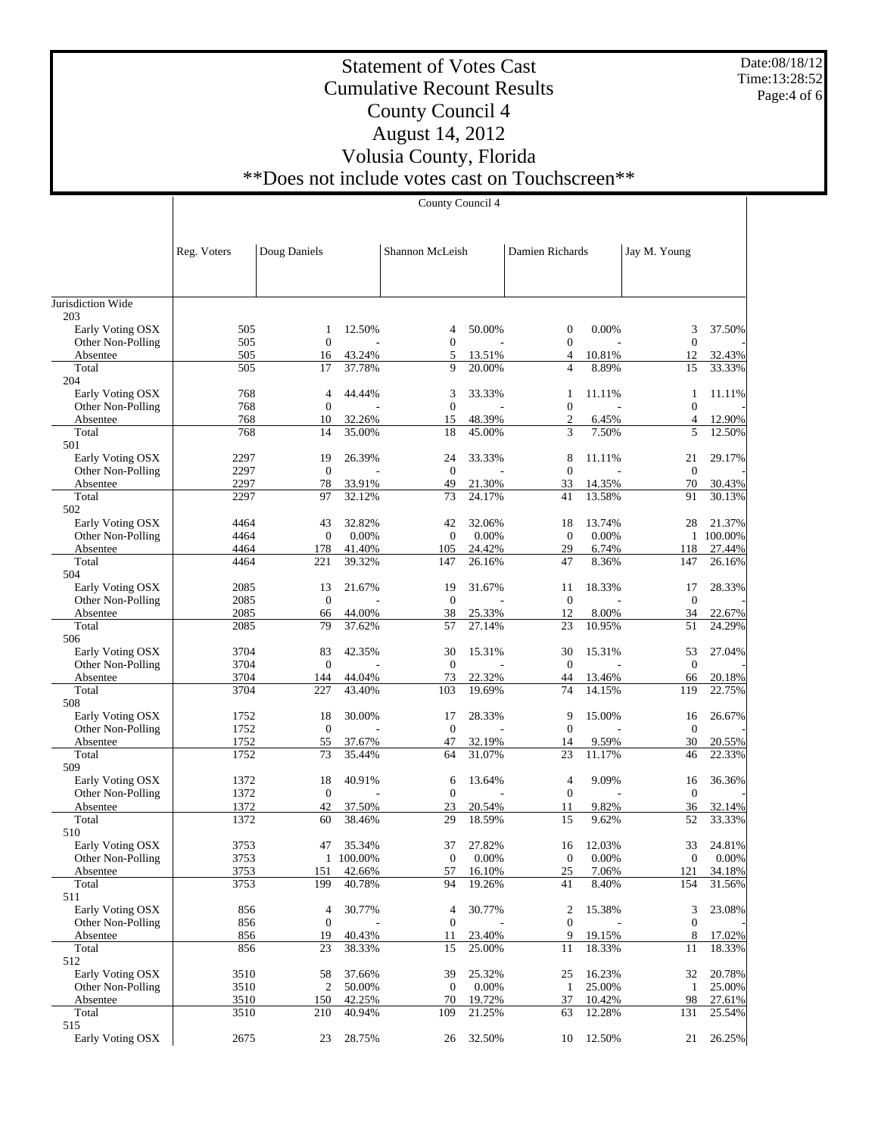Date:08/18/12 Time:13:28:52 Page:4 of 6

# Statement of Votes Cast Cumulative Recount Results County Council 4 August 14, 2012 Volusia County, Florida \*\*Does not include votes cast on Touchscreen\*\*

County Council 4

|                                       | Reg. Voters  | Doug Daniels           |                  | Shannon McLeish      |                  | Damien Richards                  |                  | Jay M. Young        |                     |
|---------------------------------------|--------------|------------------------|------------------|----------------------|------------------|----------------------------------|------------------|---------------------|---------------------|
|                                       |              |                        |                  |                      |                  |                                  |                  |                     |                     |
|                                       |              |                        |                  |                      |                  |                                  |                  |                     |                     |
| Jurisdiction Wide<br>203              |              |                        |                  |                      |                  |                                  |                  |                     |                     |
| Early Voting OSX                      | 505          | 1                      | 12.50%           | 4                    | 50.00%           | 0                                | 0.00%            | 3                   | 37.50%              |
| Other Non-Polling                     | 505          | $\mathbf{0}$           |                  | $\overline{0}$       |                  | $\boldsymbol{0}$                 |                  | $\mathbf{0}$        |                     |
| Absentee                              | 505          | 16                     | 43.24%           | 5                    | 13.51%           | 4                                | 10.81%           | 12                  | 32.43%              |
| Total                                 | 505          | 17                     | 37.78%           | 9                    | 20.00%           | $\overline{4}$                   | 8.89%            | 15                  | 33.33%              |
| 204                                   |              |                        |                  |                      |                  |                                  |                  |                     |                     |
| Early Voting OSX                      | 768          | 4                      | 44.44%           | 3                    | 33.33%           | 1                                | 11.11%           | 1                   | 11.11%              |
| Other Non-Polling<br>Absentee         | 768<br>768   | $\mathbf{0}$<br>10     | 32.26%           | $\overline{0}$<br>15 | 48.39%           | $\overline{0}$<br>$\mathfrak{2}$ | 6.45%            | $\overline{0}$<br>4 | 12.90%              |
| Total                                 | 768          | 14                     | 35.00%           | 18                   | 45.00%           | 3                                | 7.50%            | 5                   | 12.50%              |
| 501                                   |              |                        |                  |                      |                  |                                  |                  |                     |                     |
| Early Voting OSX                      | 2297         | 19                     | 26.39%           | 24                   | 33.33%           | 8                                | 11.11%           | 21                  | 29.17%              |
| Other Non-Polling                     | 2297         | $\mathbf{0}$           |                  | $\overline{0}$       |                  | $\overline{0}$                   |                  | $\boldsymbol{0}$    |                     |
| Absentee                              | 2297         | 78                     | 33.91%           | 49                   | 21.30%           | 33                               | 14.35%           | 70                  | 30.43%              |
| Total                                 | 2297         | 97                     | 32.12%           | 73                   | 24.17%           | 41                               | 13.58%           | 91                  | 30.13%              |
| 502                                   |              |                        |                  |                      |                  |                                  |                  |                     |                     |
| Early Voting OSX<br>Other Non-Polling | 4464<br>4464 | 43<br>$\boldsymbol{0}$ | 32.82%<br>0.00%  | 42<br>$\overline{0}$ | 32.06%<br>0.00%  | 18<br>$\mathbf{0}$               | 13.74%<br>0.00%  | 28                  | 21.37%<br>1 100.00% |
| Absentee                              | 4464         | 178                    | 41.40%           | 105                  | 24.42%           | 29                               | 6.74%            | 118                 | 27.44%              |
| Total                                 | 4464         | 221                    | 39.32%           | 147                  | 26.16%           | 47                               | 8.36%            | 147                 | 26.16%              |
| 504                                   |              |                        |                  |                      |                  |                                  |                  |                     |                     |
| Early Voting OSX                      | 2085         | 13                     | 21.67%           | 19                   | 31.67%           | 11                               | 18.33%           | 17                  | 28.33%              |
| Other Non-Polling                     | 2085         | $\mathbf{0}$           |                  | $\overline{0}$       |                  | $\mathbf{0}$                     |                  | $\boldsymbol{0}$    |                     |
| Absentee                              | 2085         | 66                     | 44.00%           | 38                   | 25.33%           | 12                               | 8.00%            | 34                  | 22.67%              |
| Total                                 | 2085         | 79                     | 37.62%           | 57                   | 27.14%           | 23                               | 10.95%           | 51                  | 24.29%              |
| 506                                   | 3704         |                        | 42.35%           |                      | 15.31%           |                                  | 15.31%           |                     | 27.04%              |
| Early Voting OSX<br>Other Non-Polling | 3704         | 83<br>$\boldsymbol{0}$ |                  | 30<br>$\overline{0}$ |                  | 30<br>$\mathbf{0}$               |                  | 53<br>$\mathbf{0}$  |                     |
| Absentee                              | 3704         | 144                    | 44.04%           | 73                   | 22.32%           | 44                               | 13.46%           | 66                  | 20.18%              |
| Total                                 | 3704         | 227                    | 43.40%           | 103                  | 19.69%           | 74                               | 14.15%           | 119                 | 22.75%              |
| 508                                   |              |                        |                  |                      |                  |                                  |                  |                     |                     |
| Early Voting OSX                      | 1752         | 18                     | 30.00%           | 17                   | 28.33%           | 9                                | 15.00%           | 16                  | 26.67%              |
| Other Non-Polling                     | 1752         | $\boldsymbol{0}$       |                  | $\mathbf{0}$         |                  | $\mathbf{0}$                     |                  | $\boldsymbol{0}$    |                     |
| Absentee                              | 1752         | 55                     | 37.67%           | 47                   | 32.19%           | 14                               | 9.59%            | 30                  | 20.55%              |
| Total<br>509                          | 1752         | 73                     | 35.44%           | 64                   | 31.07%           | 23                               | 11.17%           | 46                  | 22.33%              |
| Early Voting OSX                      | 1372         | 18                     | 40.91%           | 6                    | 13.64%           | 4                                | 9.09%            | 16                  | 36.36%              |
| Other Non-Polling                     | 1372         | $\mathbf{0}$           |                  | $\mathbf{0}$         |                  | $\overline{0}$                   |                  | $\mathbf{0}$        |                     |
| Absentee                              | 1372         | 42                     | 37.50%           | 23                   | 20.54%           | 11                               | 9.82%            | 36                  | 32.14%              |
| Total                                 | 1372         | 60                     | 38.46%           | 29                   | 18.59%           | 15                               | 9.62%            | 52                  | 33.33%              |
| 510                                   |              |                        |                  |                      |                  |                                  |                  |                     |                     |
| Early Voting OSX                      | 3753         | 47                     | 35.34%           | 37                   | 27.82%           | 16                               | 12.03%           | 33                  | 24.81%              |
| Other Non-Polling                     | 3753         |                        | 1 100.00%        | $\mathbf{0}$         | 0.00%            | $\boldsymbol{0}$                 | 0.00%            | $\boldsymbol{0}$    | 0.00%               |
| Absentee                              | 3753<br>3753 | 151<br>199             | 42.66%<br>40.78% | 57<br>94             | 16.10%<br>19.26% | $25\,$<br>41                     | 7.06%<br>8.40%   | 121<br>154          | 34.18%<br>31.56%    |
| Total<br>511                          |              |                        |                  |                      |                  |                                  |                  |                     |                     |
| Early Voting OSX                      | 856          | 4                      | 30.77%           | 4                    | 30.77%           | 2                                | 15.38%           | 3                   | 23.08%              |
| Other Non-Polling                     | 856          | $\boldsymbol{0}$       |                  | $\mathbf{0}$         |                  | $\boldsymbol{0}$                 |                  | $\boldsymbol{0}$    |                     |
| Absentee                              | 856          | 19                     | 40.43%           | 11                   | 23.40%           | 9                                | 19.15%           | 8                   | 17.02%              |
| Total                                 | 856          | 23                     | 38.33%           | 15                   | 25.00%           | 11                               | 18.33%           | 11                  | 18.33%              |
| 512                                   |              |                        |                  |                      |                  |                                  |                  |                     |                     |
| Early Voting OSX                      | 3510         | 58                     | 37.66%           | 39                   | 25.32%           | 25                               | 16.23%           | 32                  | 20.78%              |
| Other Non-Polling                     | 3510         | 2                      | 50.00%           | $\mathbf{0}$         | 0.00%            | $\mathbf{1}$                     | 25.00%           | $\mathbf{1}$        | 25.00%              |
| Absentee<br>Total                     | 3510<br>3510 | 150<br>210             | 42.25%<br>40.94% | 70<br>109            | 19.72%<br>21.25% | 37<br>63                         | 10.42%<br>12.28% | 98<br>131           | 27.61%<br>25.54%    |
| 515                                   |              |                        |                  |                      |                  |                                  |                  |                     |                     |
| Early Voting OSX                      | 2675         | 23                     | 28.75%           | 26                   | 32.50%           | 10                               | 12.50%           | 21                  | 26.25%              |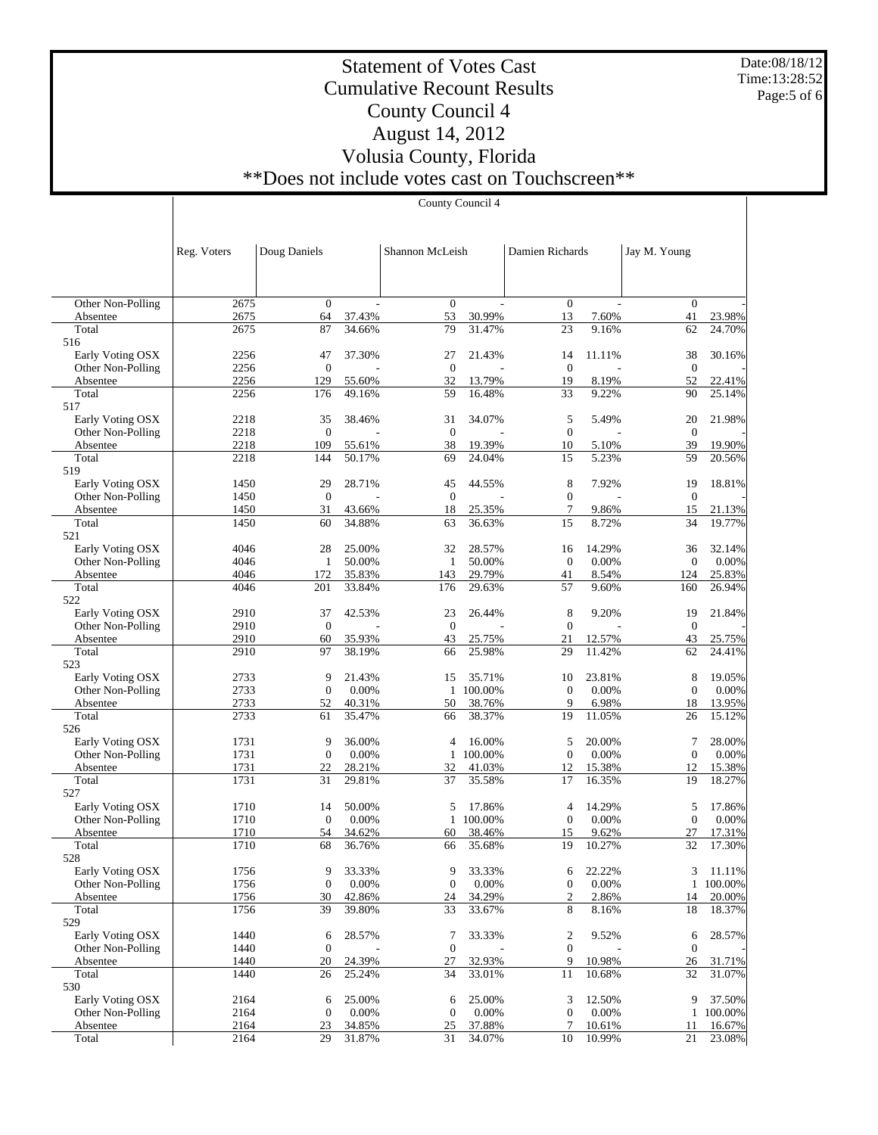Date:08/18/12 Time:13:28:52 Page:5 of 6

# Statement of Votes Cast Cumulative Recount Results County Council 4 August 14, 2012 Volusia County, Florida \*\*Does not include votes cast on Touchscreen\*\*

| Reg. Voters | Doug Daniels |        | Shannon McLeish |        | Damien Richards |        | Jay M. Young   |        |
|-------------|--------------|--------|-----------------|--------|-----------------|--------|----------------|--------|
|             |              |        |                 |        |                 |        |                |        |
|             |              |        |                 |        |                 |        |                |        |
| 2675        | $\Omega$     |        | $\Omega$        |        | $\Omega$        |        | $\Omega$       |        |
| 2675        | 64           | 37.43% | 53              | 30.99% | 13              | 7.60%  | 41             | 23.98% |
| 2675        | 87           | 34.66% | 79              | 31.47% | 23              | 9.16%  | 62             | 24.70% |
|             |              |        |                 |        |                 |        |                |        |
| 2256        | 47           | 37.30% | 27              | 21.43% | 14              | 11.11% | 38             | 30.16% |
| 2256        | $\Omega$     |        | $\Omega$        |        | $\theta$        |        | $\theta$       |        |
| 2256        | 129          | 55.60% | 32              | 13.79% | 19              | 8.19%  | 52             | 22.41% |
| 2256        | 176          | 49.16% | 59              | 16.48% | 33              | 9.22%  | 90             | 25.14% |
|             |              |        |                 |        |                 |        |                |        |
| 2218        | 35           | 38.46% | 31              | 34.07% | 5               | 5.49%  | 20             | 21.98% |
| 2218        | $\theta$     |        | $\Omega$        |        | $\mathbf{0}$    |        | $\Omega$       |        |
| 2218        | 109          | 55.61% | 38              | 19.39% | 10              | 5.10%  | 39             | 19.90% |
| 2218        | 144          | 50.17% | 69              | 24.04% | 15              | 5.23%  | 59             | 20.56% |
|             |              |        |                 |        |                 |        |                |        |
| 1450        | 29           | 28.71% | 45              | 44.55% | 8               | 7.92%  | 19             | 18.81% |
| 1450        | $\Omega$     |        | $\Omega$        |        | $\theta$        |        | $\overline{0}$ |        |
| 1450        | 31           | 43.66% | 18              | 25.35% |                 | 9.86%  | 15             | 21.13% |
| 1450        | 60           | 34.88% | 63              | 36.63% | 15              | 8.72%  | 34             | 19.77% |
|             |              |        |                 |        |                 |        |                |        |

 Other Non-Polling Absentee Total 516

 Early Voting OSX Other Non-Polling Absentee Total 517

Early Voting OSX

| Other Non-Polling | 2218 | $\overline{0}$ |        | $\boldsymbol{0}$ |           | $\overline{0}$   |        | $\mathbf{0}$     |         |
|-------------------|------|----------------|--------|------------------|-----------|------------------|--------|------------------|---------|
| Absentee          | 2218 | 109            | 55.61% | 38               | 19.39%    | 10               | 5.10%  | 39               | 19.90%  |
| Total             | 2218 | 144            | 50.17% | 69               | 24.04%    | 15               | 5.23%  | 59               | 20.56%  |
| 519               |      |                |        |                  |           |                  |        |                  |         |
| Early Voting OSX  | 1450 | 29             | 28.71% | 45               | 44.55%    | 8                | 7.92%  | 19               | 18.81%  |
| Other Non-Polling | 1450 | $\mathbf{0}$   |        | $\overline{0}$   |           | $\overline{0}$   |        | $\mathbf{0}$     |         |
| Absentee          | 1450 | 31             | 43.66% | 18               | 25.35%    | 7                | 9.86%  | 15               | 21.13%  |
| Total             | 1450 | 60             | 34.88% | 63               | 36.63%    | 15               | 8.72%  | 34               | 19.77%  |
| 521               |      |                |        |                  |           |                  |        |                  |         |
| Early Voting OSX  | 4046 | 28             | 25.00% | 32               | 28.57%    | 16               | 14.29% | 36               | 32.14%  |
| Other Non-Polling | 4046 | 1              | 50.00% | 1                | 50.00%    | $\overline{0}$   | 0.00%  | $\theta$         | 0.00%   |
| Absentee          | 4046 | 172            | 35.83% | 143              | 29.79%    | 41               | 8.54%  | 124              | 25.83%  |
| Total             | 4046 | 201            | 33.84% | 176              | 29.63%    | 57               | 9.60%  | 160              | 26.94%  |
| 522               |      |                |        |                  |           |                  |        |                  |         |
| Early Voting OSX  | 2910 | 37             | 42.53% | 23               | 26.44%    | 8                | 9.20%  | 19               | 21.84%  |
| Other Non-Polling | 2910 | $\mathbf{0}$   |        | $\boldsymbol{0}$ |           | $\boldsymbol{0}$ |        | $\mathbf{0}$     |         |
| Absentee          | 2910 | 60             | 35.93% | 43               | 25.75%    | 21               | 12.57% | 43               | 25.75%  |
| Total             | 2910 | 97             | 38.19% | 66               | 25.98%    | 29               | 11.42% | 62               | 24.41%  |
| 523               |      |                |        |                  |           |                  |        |                  |         |
| Early Voting OSX  | 2733 | 9              | 21.43% | 15               | 35.71%    | 10               | 23.81% | 8                | 19.05%  |
| Other Non-Polling | 2733 | $\overline{0}$ | 0.00%  |                  | 1 100,00% | $\overline{0}$   | 0.00%  | $\overline{0}$   | 0.00%   |
| Absentee          | 2733 | 52             | 40.31% | 50               | 38.76%    | 9                | 6.98%  | 18               | 13.95%  |
| Total             | 2733 | 61             | 35.47% | 66               | 38.37%    | 19               | 11.05% | 26               | 15.12%  |
| 526               |      |                |        |                  |           |                  |        |                  |         |
| Early Voting OSX  | 1731 | 9              | 36.00% | 4                | 16.00%    | 5                | 20.00% | 7                | 28.00%  |
| Other Non-Polling | 1731 | $\overline{0}$ | 0.00%  | 1                | 100.00%   | $\overline{0}$   | 0.00%  | $\overline{0}$   | 0.00%   |
| Absentee          | 1731 | 22             | 28.21% | 32               | 41.03%    | 12               | 15.38% | 12               | 15.38%  |
| Total             | 1731 | 31             | 29.81% | 37               | 35.58%    | 17               | 16.35% | 19               | 18.27%  |
| 527               |      |                |        |                  |           |                  |        |                  |         |
| Early Voting OSX  | 1710 | 14             | 50.00% | 5                | 17.86%    | $\overline{4}$   | 14.29% | 5                | 17.86%  |
| Other Non-Polling | 1710 | $\mathbf{0}$   | 0.00%  | $\mathbf{1}$     | 100.00%   | $\overline{0}$   | 0.00%  | $\boldsymbol{0}$ | 0.00%   |
| Absentee          | 1710 | 54             | 34.62% | 60               | 38.46%    | 15               | 9.62%  | 27               | 17.31%  |
| Total             | 1710 | 68             | 36.76% | 66               | 35.68%    | 19               | 10.27% | 32               | 17.30%  |
| 528               |      |                |        |                  |           |                  |        |                  |         |
| Early Voting OSX  | 1756 | 9              | 33.33% | 9                | 33.33%    | 6                | 22.22% | 3                | 11.11%  |
| Other Non-Polling | 1756 | $\overline{0}$ | 0.00%  | $\mathbf{0}$     | 0.00%     | $\theta$         | 0.00%  | $\mathbf{1}$     | 100.00% |
| Absentee          | 1756 | 30             | 42.86% | 24               | 34.29%    | $\overline{2}$   | 2.86%  | 14               | 20.00%  |
| Total             | 1756 | 39             | 39.80% | 33               | 33.67%    | 8                | 8.16%  | 18               | 18.37%  |
| 529               |      |                |        |                  |           |                  |        |                  |         |
| Early Voting OSX  | 1440 | 6              | 28.57% | 7                | 33.33%    | $\overline{2}$   | 9.52%  | 6                | 28.57%  |
| Other Non-Polling | 1440 | $\overline{0}$ |        | $\mathbf{0}$     |           | $\mathbf{0}$     |        | $\overline{0}$   |         |
| Absentee          | 1440 | 20             | 24.39% | 27               | 32.93%    | 9                | 10.98% | 26               | 31.71%  |
| Total             | 1440 | 26             | 25.24% | 34               | 33.01%    | 11               | 10.68% | 32               | 31.07%  |
| 530               |      |                |        |                  |           |                  |        |                  |         |
| Early Voting OSX  | 2164 | 6              | 25.00% | 6                | 25.00%    | 3                | 12.50% | 9                | 37.50%  |
| Other Non-Polling | 2164 | $\mathbf{0}$   | 0.00%  | $\mathbf{0}$     | 0.00%     | $\overline{0}$   | 0.00%  | $\mathbf{1}$     | 100.00% |
| Absentee          | 2164 | 23             | 34.85% | 25               | 37.88%    | 7                | 10.61% | 11               | 16.67%  |
| Total             | 2164 | 29             | 31.87% | 31               | 34.07%    | 10               | 10.99% | 21               | 23.08%  |

### County Council 4